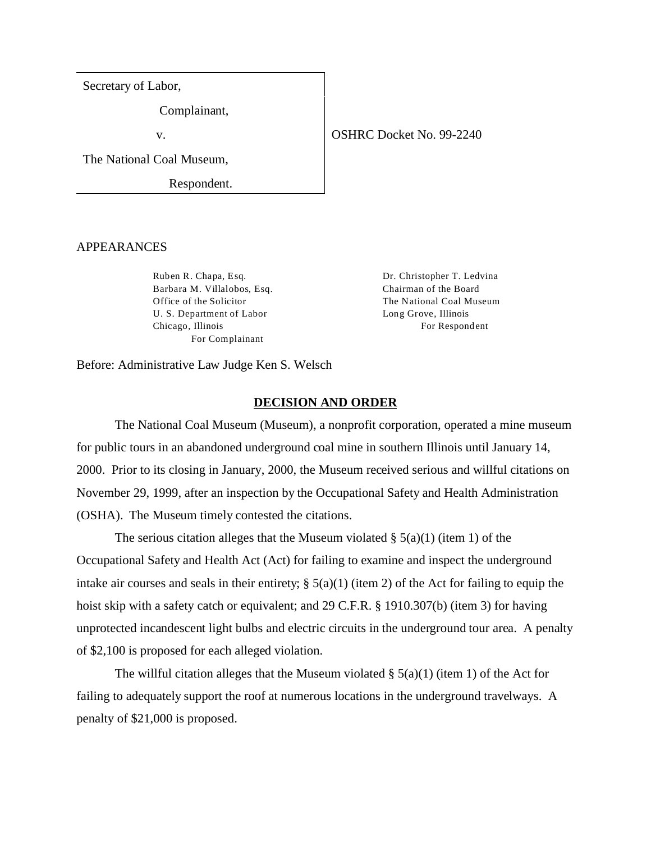Secretary of Labor,

Complainant,

v.

The National Coal Museum,

Respondent.

### APPEARANCES

Ruben R. Chapa, Esq. Barbara M. Villalobos, Esq. Office of the Solicitor U. S. Department of Labor Chicago, Illinois For Complainant

Dr. Christopher T. Ledvina Chairman of the Board The National Coal Museum Long Grove, Illinois For Respondent

Before: Administrative Law Judge Ken S. Welsch

### **DECISION AND ORDER**

The National Coal Museum (Museum), a nonprofit corporation, operated a mine museum for public tours in an abandoned underground coal mine in southern Illinois until January 14, 2000. Prior to its closing in January, 2000, the Museum received serious and willful citations on November 29, 1999, after an inspection by the Occupational Safety and Health Administration (OSHA). The Museum timely contested the citations.

The serious citation alleges that the Museum violated  $\S$  5(a)(1) (item 1) of the Occupational Safety and Health Act (Act) for failing to examine and inspect the underground intake air courses and seals in their entirety;  $\S(5(a)(1))$  (item 2) of the Act for failing to equip the hoist skip with a safety catch or equivalent; and 29 C.F.R. § 1910.307(b) (item 3) for having unprotected incandescent light bulbs and electric circuits in the underground tour area. A penalty of \$2,100 is proposed for each alleged violation.

The willful citation alleges that the Museum violated  $\S$  5(a)(1) (item 1) of the Act for failing to adequately support the roof at numerous locations in the underground travelways. A penalty of \$21,000 is proposed.

# OSHRC Docket No. 99-2240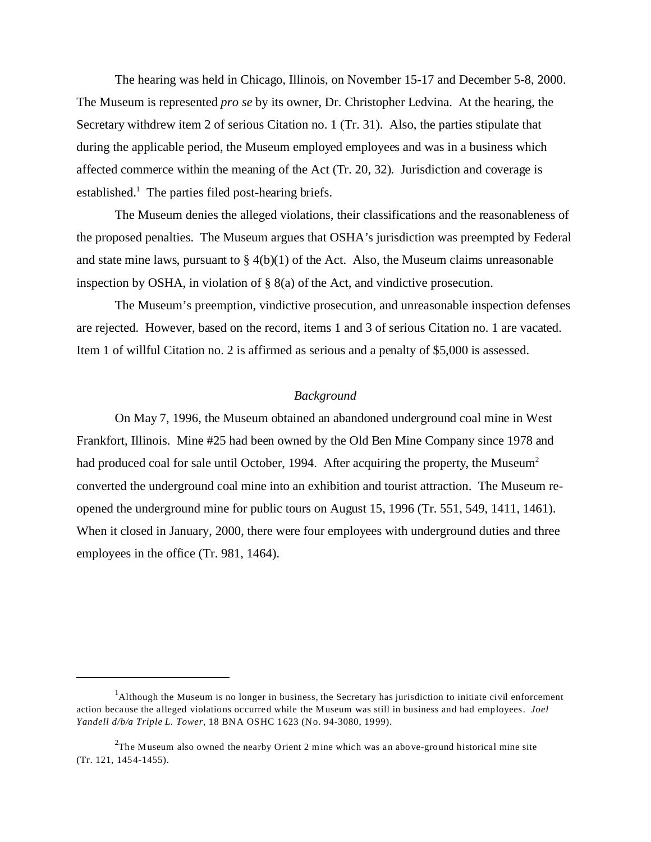The hearing was held in Chicago, Illinois, on November 15-17 and December 5-8, 2000. The Museum is represented *pro se* by its owner, Dr. Christopher Ledvina. At the hearing, the Secretary withdrew item 2 of serious Citation no. 1 (Tr. 31). Also, the parties stipulate that during the applicable period, the Museum employed employees and was in a business which affected commerce within the meaning of the Act (Tr. 20, 32). Jurisdiction and coverage is established.<sup>1</sup> The parties filed post-hearing briefs.

The Museum denies the alleged violations, their classifications and the reasonableness of the proposed penalties. The Museum argues that OSHA's jurisdiction was preempted by Federal and state mine laws, pursuant to  $\S 4(b)(1)$  of the Act. Also, the Museum claims unreasonable inspection by OSHA, in violation of § 8(a) of the Act, and vindictive prosecution.

The Museum's preemption, vindictive prosecution, and unreasonable inspection defenses are rejected. However, based on the record, items 1 and 3 of serious Citation no. 1 are vacated. Item 1 of willful Citation no. 2 is affirmed as serious and a penalty of \$5,000 is assessed.

### *Background*

On May 7, 1996, the Museum obtained an abandoned underground coal mine in West Frankfort, Illinois. Mine #25 had been owned by the Old Ben Mine Company since 1978 and had produced coal for sale until October, 1994. After acquiring the property, the Museum<sup>2</sup> converted the underground coal mine into an exhibition and tourist attraction. The Museum reopened the underground mine for public tours on August 15, 1996 (Tr. 551, 549, 1411, 1461). When it closed in January, 2000, there were four employees with underground duties and three employees in the office (Tr. 981, 1464).

<sup>&</sup>lt;sup>1</sup>Although the Museum is no longer in business, the Secretary has jurisdiction to initiate civil enforcement action because the alleged violations occurred while the Museum was still in business and had employees. *Joel Yandell d/b/a Triple L. Tower*, 18 BNA OSHC 1623 (No. 94-3080, 1999).

<sup>&</sup>lt;sup>2</sup>The Museum also owned the nearby Orient 2 mine which was an above-ground historical mine site (Tr. 121, 1454-1455).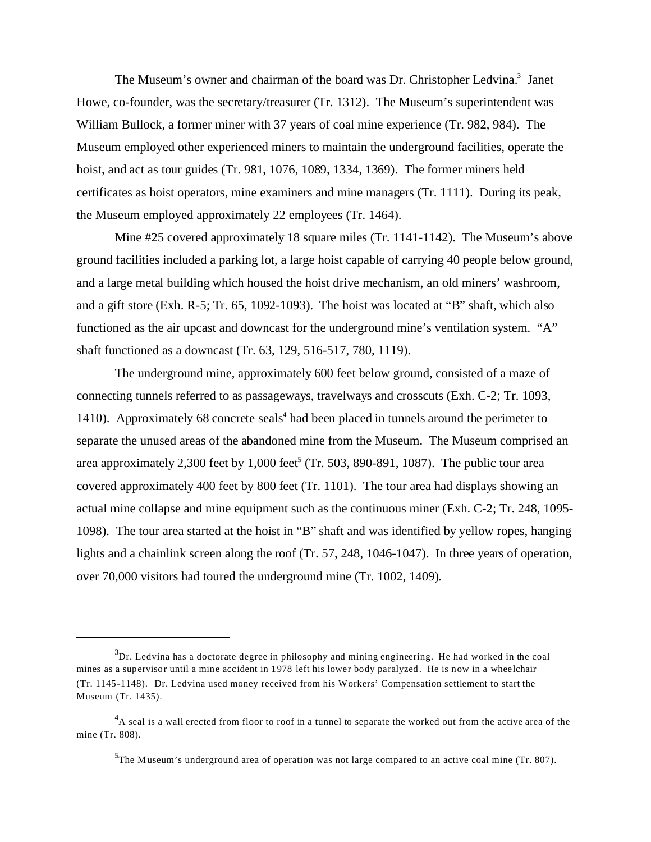The Museum's owner and chairman of the board was Dr. Christopher Ledvina.<sup>3</sup> Janet Howe, co-founder, was the secretary/treasurer (Tr. 1312). The Museum's superintendent was William Bullock, a former miner with 37 years of coal mine experience (Tr. 982, 984). The Museum employed other experienced miners to maintain the underground facilities, operate the hoist, and act as tour guides (Tr. 981, 1076, 1089, 1334, 1369). The former miners held certificates as hoist operators, mine examiners and mine managers (Tr. 1111). During its peak, the Museum employed approximately 22 employees (Tr. 1464).

Mine #25 covered approximately 18 square miles (Tr. 1141-1142). The Museum's above ground facilities included a parking lot, a large hoist capable of carrying 40 people below ground, and a large metal building which housed the hoist drive mechanism, an old miners' washroom, and a gift store (Exh. R-5; Tr. 65, 1092-1093). The hoist was located at "B" shaft, which also functioned as the air upcast and downcast for the underground mine's ventilation system. "A" shaft functioned as a downcast (Tr. 63, 129, 516-517, 780, 1119).

The underground mine, approximately 600 feet below ground, consisted of a maze of connecting tunnels referred to as passageways, travelways and crosscuts (Exh. C-2; Tr. 1093, 1410). Approximately 68 concrete seals<sup>4</sup> had been placed in tunnels around the perimeter to separate the unused areas of the abandoned mine from the Museum. The Museum comprised an area approximately 2,300 feet by 1,000 feet<sup>5</sup> (Tr. 503, 890-891, 1087). The public tour area covered approximately 400 feet by 800 feet (Tr. 1101). The tour area had displays showing an actual mine collapse and mine equipment such as the continuous miner (Exh. C-2; Tr. 248, 1095- 1098). The tour area started at the hoist in "B" shaft and was identified by yellow ropes, hanging lights and a chainlink screen along the roof (Tr. 57, 248, 1046-1047). In three years of operation, over 70,000 visitors had toured the underground mine (Tr. 1002, 1409).

 $3$ Dr. Ledvina has a doctorate degree in philosophy and mining engineering. He had worked in the coal mines as a supervisor until a mine accident in 1978 left his lower body paralyzed. He is now in a wheelchair (Tr. 1145-1148). Dr. Ledvina used money received from his Workers' Compensation settlement to start the Museum (Tr. 1435).

 $4A$  seal is a wall erected from floor to roof in a tunnel to separate the worked out from the active area of the mine (Tr. 808).

 $5$ The Museum's underground area of operation was not large compared to an active coal mine (Tr. 807).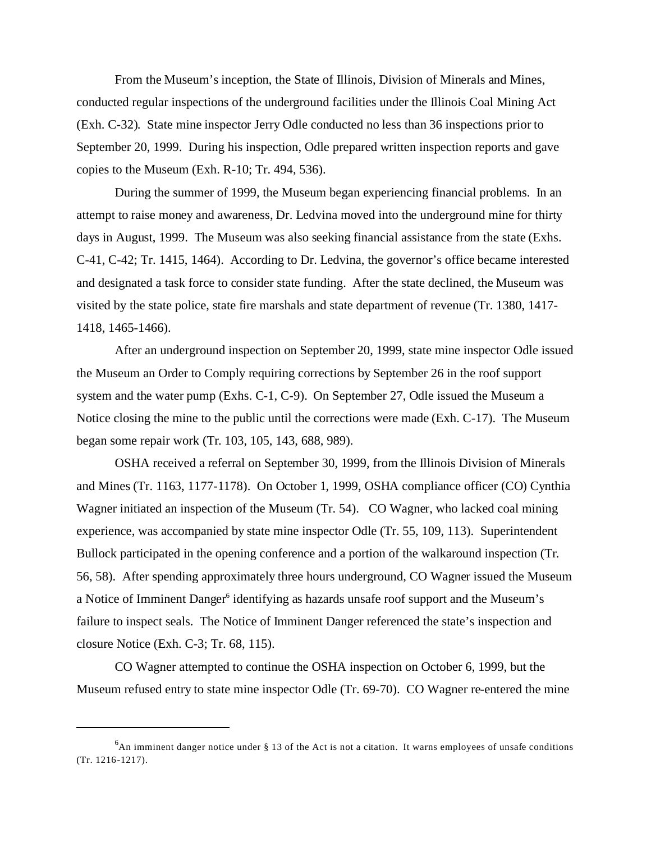From the Museum's inception, the State of Illinois, Division of Minerals and Mines, conducted regular inspections of the underground facilities under the Illinois Coal Mining Act (Exh. C-32). State mine inspector Jerry Odle conducted no less than 36 inspections prior to September 20, 1999. During his inspection, Odle prepared written inspection reports and gave copies to the Museum (Exh. R-10; Tr. 494, 536).

During the summer of 1999, the Museum began experiencing financial problems. In an attempt to raise money and awareness, Dr. Ledvina moved into the underground mine for thirty days in August, 1999. The Museum was also seeking financial assistance from the state (Exhs. C-41, C-42; Tr. 1415, 1464). According to Dr. Ledvina, the governor's office became interested and designated a task force to consider state funding. After the state declined, the Museum was visited by the state police, state fire marshals and state department of revenue (Tr. 1380, 1417- 1418, 1465-1466).

After an underground inspection on September 20, 1999, state mine inspector Odle issued the Museum an Order to Comply requiring corrections by September 26 in the roof support system and the water pump (Exhs. C-1, C-9). On September 27, Odle issued the Museum a Notice closing the mine to the public until the corrections were made (Exh. C-17). The Museum began some repair work (Tr. 103, 105, 143, 688, 989).

OSHA received a referral on September 30, 1999, from the Illinois Division of Minerals and Mines (Tr. 1163, 1177-1178). On October 1, 1999, OSHA compliance officer (CO) Cynthia Wagner initiated an inspection of the Museum (Tr. 54). CO Wagner, who lacked coal mining experience, was accompanied by state mine inspector Odle (Tr. 55, 109, 113). Superintendent Bullock participated in the opening conference and a portion of the walkaround inspection (Tr. 56, 58). After spending approximately three hours underground, CO Wagner issued the Museum a Notice of Imminent Danger<sup>6</sup> identifying as hazards unsafe roof support and the Museum's failure to inspect seals. The Notice of Imminent Danger referenced the state's inspection and closure Notice (Exh. C-3; Tr. 68, 115).

CO Wagner attempted to continue the OSHA inspection on October 6, 1999, but the Museum refused entry to state mine inspector Odle (Tr. 69-70). CO Wagner re-entered the mine

<sup>&</sup>lt;sup>6</sup>An imminent danger notice under § 13 of the Act is not a citation. It warns employees of unsafe conditions (Tr. 1216-1217).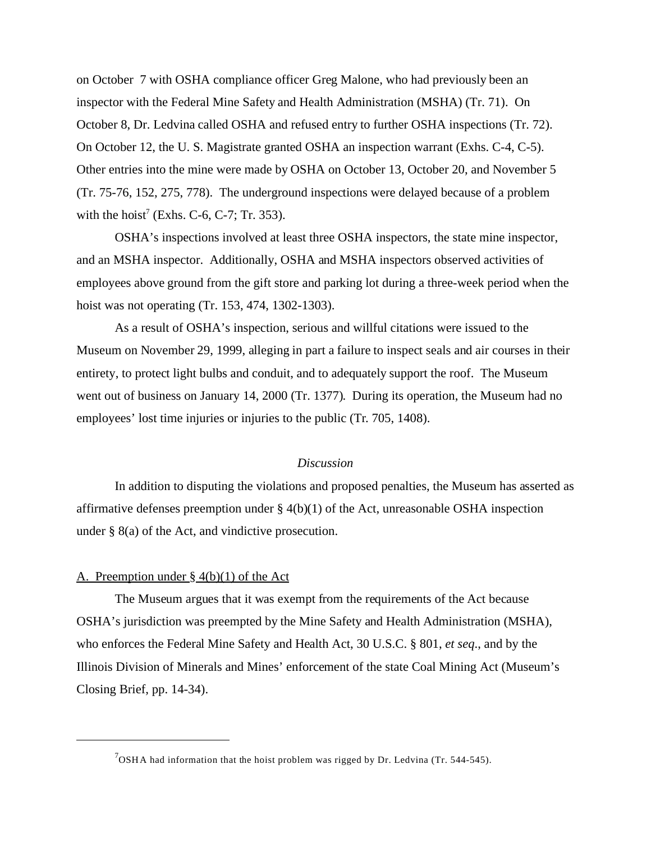on October 7 with OSHA compliance officer Greg Malone, who had previously been an inspector with the Federal Mine Safety and Health Administration (MSHA) (Tr. 71). On October 8, Dr. Ledvina called OSHA and refused entry to further OSHA inspections (Tr. 72). On October 12, the U. S. Magistrate granted OSHA an inspection warrant (Exhs. C-4, C-5). Other entries into the mine were made by OSHA on October 13, October 20, and November 5 (Tr. 75-76, 152, 275, 778). The underground inspections were delayed because of a problem with the hoist<sup>7</sup> (Exhs. C-6, C-7; Tr. 353).

OSHA's inspections involved at least three OSHA inspectors, the state mine inspector, and an MSHA inspector. Additionally, OSHA and MSHA inspectors observed activities of employees above ground from the gift store and parking lot during a three-week period when the hoist was not operating (Tr. 153, 474, 1302-1303).

As a result of OSHA's inspection, serious and willful citations were issued to the Museum on November 29, 1999, alleging in part a failure to inspect seals and air courses in their entirety, to protect light bulbs and conduit, and to adequately support the roof. The Museum went out of business on January 14, 2000 (Tr. 1377). During its operation, the Museum had no employees' lost time injuries or injuries to the public (Tr. 705, 1408).

#### *Discussion*

In addition to disputing the violations and proposed penalties, the Museum has asserted as affirmative defenses preemption under § 4(b)(1) of the Act, unreasonable OSHA inspection under § 8(a) of the Act, and vindictive prosecution.

### A. Preemption under § 4(b)(1) of the Act

The Museum argues that it was exempt from the requirements of the Act because OSHA's jurisdiction was preempted by the Mine Safety and Health Administration (MSHA), who enforces the Federal Mine Safety and Health Act, 30 U.S.C. § 801, *et seq*., and by the Illinois Division of Minerals and Mines' enforcement of the state Coal Mining Act (Museum's Closing Brief, pp. 14-34).

 $7$ OSHA had information that the hoist problem was rigged by Dr. Ledvina (Tr. 544-545).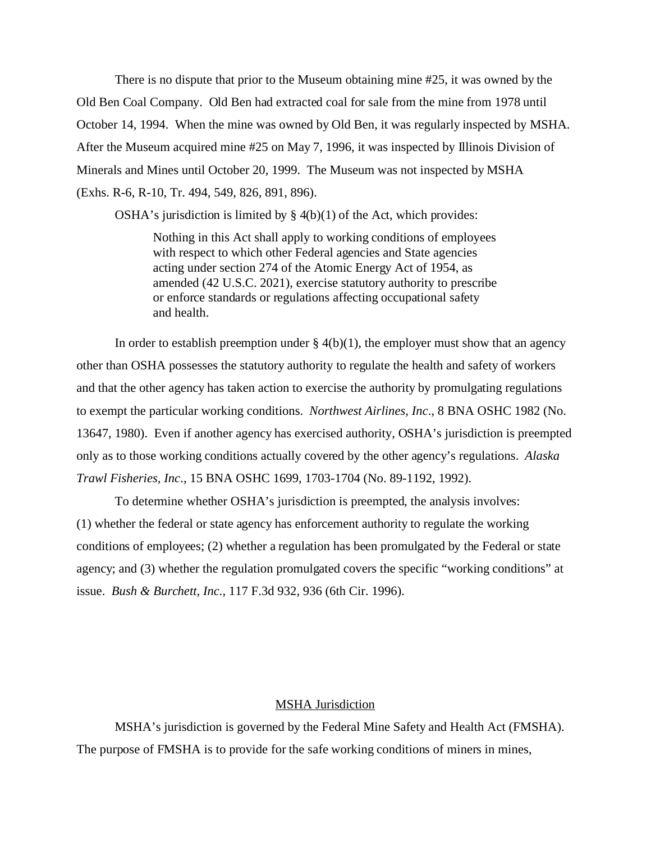There is no dispute that prior to the Museum obtaining mine #25, it was owned by the Old Ben Coal Company. Old Ben had extracted coal for sale from the mine from 1978 until October 14, 1994. When the mine was owned by Old Ben, it was regularly inspected by MSHA. After the Museum acquired mine #25 on May 7, 1996, it was inspected by Illinois Division of Minerals and Mines until October 20, 1999. The Museum was not inspected by MSHA (Exhs. R-6, R-10, Tr. 494, 549, 826, 891, 896).

OSHA's jurisdiction is limited by  $\S$  4(b)(1) of the Act, which provides:

Nothing in this Act shall apply to working conditions of employees with respect to which other Federal agencies and State agencies acting under section 274 of the Atomic Energy Act of 1954, as amended (42 U.S.C. 2021), exercise statutory authority to prescribe or enforce standards or regulations affecting occupational safety and health.

In order to establish preemption under  $\S 4(b)(1)$ , the employer must show that an agency other than OSHA possesses the statutory authority to regulate the health and safety of workers and that the other agency has taken action to exercise the authority by promulgating regulations to exempt the particular working conditions. *Northwest Airlines, Inc*., 8 BNA OSHC 1982 (No. 13647, 1980). Even if another agency has exercised authority, OSHA's jurisdiction is preempted only as to those working conditions actually covered by the other agency's regulations. *Alaska Trawl Fisheries, Inc*., 15 BNA OSHC 1699, 1703-1704 (No. 89-1192, 1992).

To determine whether OSHA's jurisdiction is preempted, the analysis involves: (1) whether the federal or state agency has enforcement authority to regulate the working conditions of employees; (2) whether a regulation has been promulgated by the Federal or state agency; and (3) whether the regulation promulgated covers the specific "working conditions" at issue. *Bush & Burchett, Inc.,* 117 F.3d 932, 936 (6th Cir. 1996).

### MSHA Jurisdiction

MSHA's jurisdiction is governed by the Federal Mine Safety and Health Act (FMSHA). The purpose of FMSHA is to provide for the safe working conditions of miners in mines,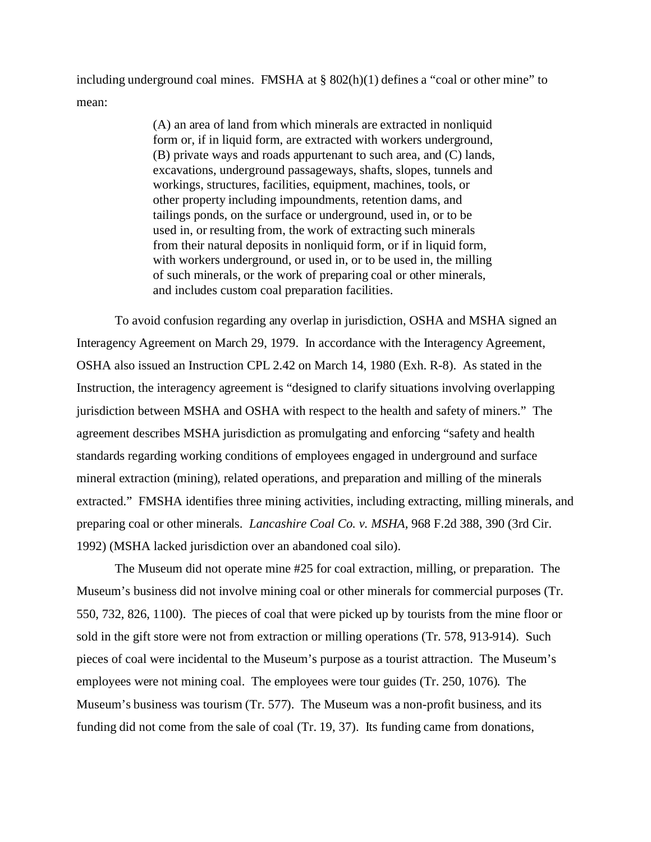including underground coal mines. FMSHA at § 802(h)(1) defines a "coal or other mine" to mean:

> (A) an area of land from which minerals are extracted in nonliquid form or, if in liquid form, are extracted with workers underground, (B) private ways and roads appurtenant to such area, and (C) lands, excavations, underground passageways, shafts, slopes, tunnels and workings, structures, facilities, equipment, machines, tools, or other property including impoundments, retention dams, and tailings ponds, on the surface or underground, used in, or to be used in, or resulting from, the work of extracting such minerals from their natural deposits in nonliquid form, or if in liquid form, with workers underground, or used in, or to be used in, the milling of such minerals, or the work of preparing coal or other minerals, and includes custom coal preparation facilities.

To avoid confusion regarding any overlap in jurisdiction, OSHA and MSHA signed an Interagency Agreement on March 29, 1979. In accordance with the Interagency Agreement, OSHA also issued an Instruction CPL 2.42 on March 14, 1980 (Exh. R-8). As stated in the Instruction, the interagency agreement is "designed to clarify situations involving overlapping jurisdiction between MSHA and OSHA with respect to the health and safety of miners." The agreement describes MSHA jurisdiction as promulgating and enforcing "safety and health standards regarding working conditions of employees engaged in underground and surface mineral extraction (mining), related operations, and preparation and milling of the minerals extracted." FMSHA identifies three mining activities, including extracting, milling minerals, and preparing coal or other minerals. *Lancashire Coal Co. v. MSHA,* 968 F.2d 388, 390 (3rd Cir. 1992) (MSHA lacked jurisdiction over an abandoned coal silo).

The Museum did not operate mine #25 for coal extraction, milling, or preparation. The Museum's business did not involve mining coal or other minerals for commercial purposes (Tr. 550, 732, 826, 1100). The pieces of coal that were picked up by tourists from the mine floor or sold in the gift store were not from extraction or milling operations (Tr. 578, 913-914). Such pieces of coal were incidental to the Museum's purpose as a tourist attraction. The Museum's employees were not mining coal. The employees were tour guides (Tr. 250, 1076). The Museum's business was tourism (Tr. 577). The Museum was a non-profit business, and its funding did not come from the sale of coal (Tr. 19, 37). Its funding came from donations,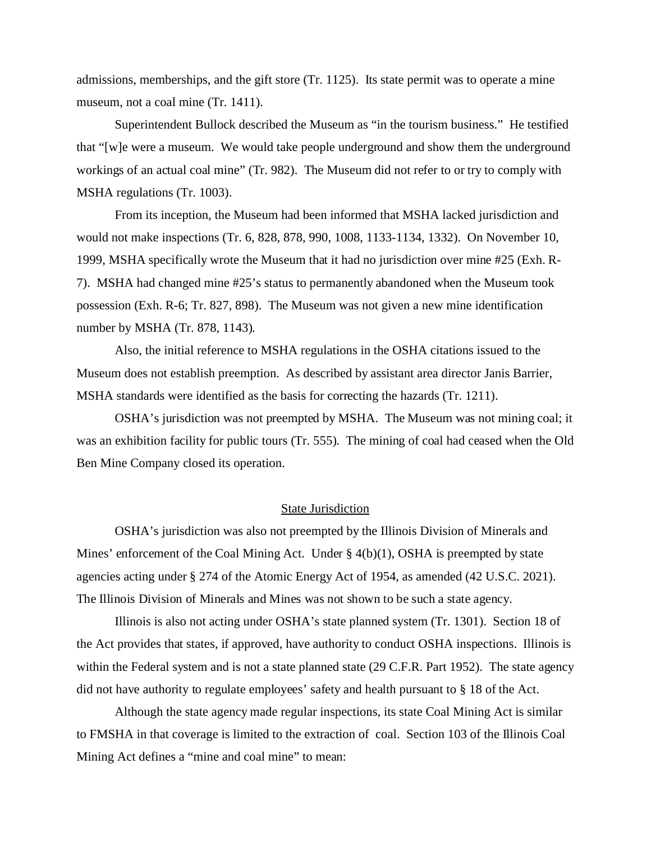admissions, memberships, and the gift store (Tr. 1125). Its state permit was to operate a mine museum, not a coal mine (Tr. 1411).

Superintendent Bullock described the Museum as "in the tourism business." He testified that "[w]e were a museum. We would take people underground and show them the underground workings of an actual coal mine" (Tr. 982). The Museum did not refer to or try to comply with MSHA regulations (Tr. 1003).

From its inception, the Museum had been informed that MSHA lacked jurisdiction and would not make inspections (Tr. 6, 828, 878, 990, 1008, 1133-1134, 1332). On November 10, 1999, MSHA specifically wrote the Museum that it had no jurisdiction over mine #25 (Exh. R-7). MSHA had changed mine #25's status to permanently abandoned when the Museum took possession (Exh. R-6; Tr. 827, 898). The Museum was not given a new mine identification number by MSHA (Tr. 878, 1143).

Also, the initial reference to MSHA regulations in the OSHA citations issued to the Museum does not establish preemption. As described by assistant area director Janis Barrier, MSHA standards were identified as the basis for correcting the hazards (Tr. 1211).

OSHA's jurisdiction was not preempted by MSHA. The Museum was not mining coal; it was an exhibition facility for public tours (Tr. 555). The mining of coal had ceased when the Old Ben Mine Company closed its operation.

# State Jurisdiction

OSHA's jurisdiction was also not preempted by the Illinois Division of Minerals and Mines' enforcement of the Coal Mining Act. Under  $\S$  4(b)(1), OSHA is preempted by state agencies acting under § 274 of the Atomic Energy Act of 1954, as amended (42 U.S.C. 2021). The Illinois Division of Minerals and Mines was not shown to be such a state agency.

Illinois is also not acting under OSHA's state planned system (Tr. 1301). Section 18 of the Act provides that states, if approved, have authority to conduct OSHA inspections. Illinois is within the Federal system and is not a state planned state (29 C.F.R. Part 1952). The state agency did not have authority to regulate employees' safety and health pursuant to § 18 of the Act.

Although the state agency made regular inspections, its state Coal Mining Act is similar to FMSHA in that coverage is limited to the extraction of coal. Section 103 of the Illinois Coal Mining Act defines a "mine and coal mine" to mean: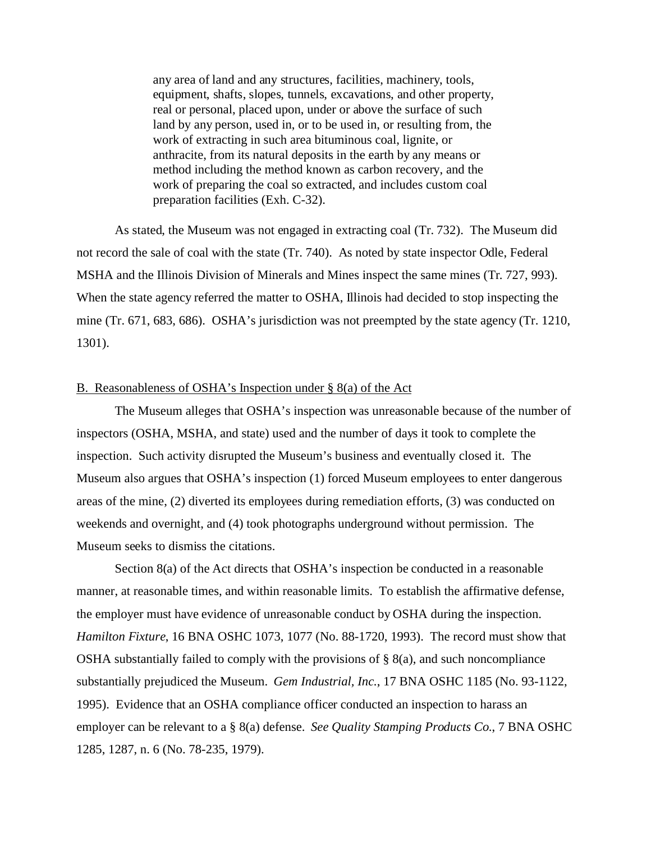any area of land and any structures, facilities, machinery, tools, equipment, shafts, slopes, tunnels, excavations, and other property, real or personal, placed upon, under or above the surface of such land by any person, used in, or to be used in, or resulting from, the work of extracting in such area bituminous coal, lignite, or anthracite, from its natural deposits in the earth by any means or method including the method known as carbon recovery, and the work of preparing the coal so extracted, and includes custom coal preparation facilities (Exh. C-32).

As stated, the Museum was not engaged in extracting coal (Tr. 732). The Museum did not record the sale of coal with the state (Tr. 740). As noted by state inspector Odle, Federal MSHA and the Illinois Division of Minerals and Mines inspect the same mines (Tr. 727, 993). When the state agency referred the matter to OSHA, Illinois had decided to stop inspecting the mine (Tr. 671, 683, 686). OSHA's jurisdiction was not preempted by the state agency (Tr. 1210, 1301).

# B. Reasonableness of OSHA's Inspection under § 8(a) of the Act

The Museum alleges that OSHA's inspection was unreasonable because of the number of inspectors (OSHA, MSHA, and state) used and the number of days it took to complete the inspection. Such activity disrupted the Museum's business and eventually closed it. The Museum also argues that OSHA's inspection (1) forced Museum employees to enter dangerous areas of the mine, (2) diverted its employees during remediation efforts, (3) was conducted on weekends and overnight, and (4) took photographs underground without permission. The Museum seeks to dismiss the citations.

Section 8(a) of the Act directs that OSHA's inspection be conducted in a reasonable manner, at reasonable times, and within reasonable limits. To establish the affirmative defense, the employer must have evidence of unreasonable conduct by OSHA during the inspection. *Hamilton Fixture*, 16 BNA OSHC 1073, 1077 (No. 88-1720, 1993). The record must show that OSHA substantially failed to comply with the provisions of  $\S$  8(a), and such noncompliance substantially prejudiced the Museum. *Gem Industrial, Inc.*, 17 BNA OSHC 1185 (No. 93-1122, 1995). Evidence that an OSHA compliance officer conducted an inspection to harass an employer can be relevant to a § 8(a) defense. *See Quality Stamping Products Co*., 7 BNA OSHC 1285, 1287, n. 6 (No. 78-235, 1979).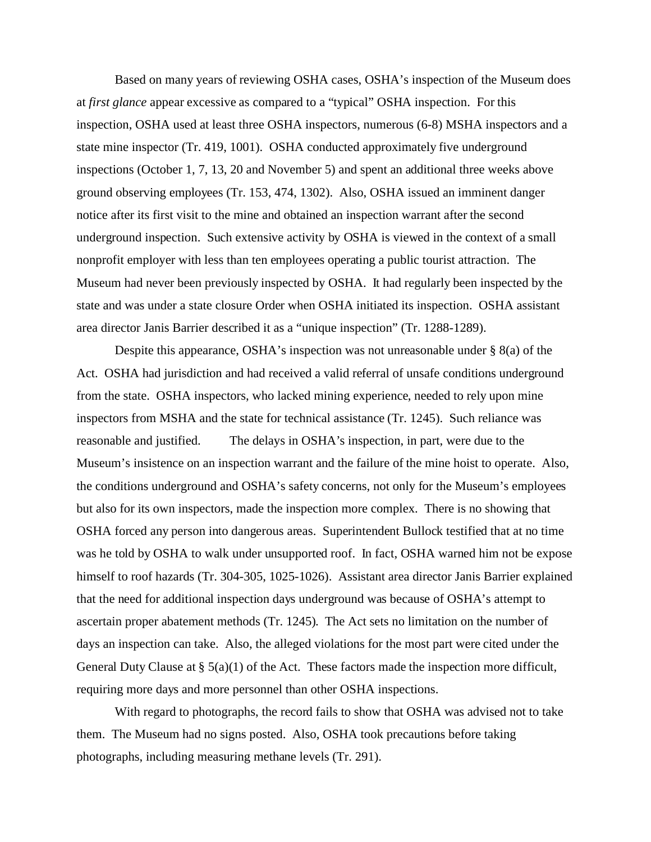Based on many years of reviewing OSHA cases, OSHA's inspection of the Museum does at *first glance* appear excessive as compared to a "typical" OSHA inspection. For this inspection, OSHA used at least three OSHA inspectors, numerous (6-8) MSHA inspectors and a state mine inspector (Tr. 419, 1001). OSHA conducted approximately five underground inspections (October 1, 7, 13, 20 and November 5) and spent an additional three weeks above ground observing employees (Tr. 153, 474, 1302). Also, OSHA issued an imminent danger notice after its first visit to the mine and obtained an inspection warrant after the second underground inspection. Such extensive activity by OSHA is viewed in the context of a small nonprofit employer with less than ten employees operating a public tourist attraction. The Museum had never been previously inspected by OSHA. It had regularly been inspected by the state and was under a state closure Order when OSHA initiated its inspection. OSHA assistant area director Janis Barrier described it as a "unique inspection" (Tr. 1288-1289).

Despite this appearance, OSHA's inspection was not unreasonable under § 8(a) of the Act. OSHA had jurisdiction and had received a valid referral of unsafe conditions underground from the state. OSHA inspectors, who lacked mining experience, needed to rely upon mine inspectors from MSHA and the state for technical assistance (Tr. 1245). Such reliance was reasonable and justified. The delays in OSHA's inspection, in part, were due to the Museum's insistence on an inspection warrant and the failure of the mine hoist to operate. Also, the conditions underground and OSHA's safety concerns, not only for the Museum's employees but also for its own inspectors, made the inspection more complex. There is no showing that OSHA forced any person into dangerous areas. Superintendent Bullock testified that at no time was he told by OSHA to walk under unsupported roof. In fact, OSHA warned him not be expose himself to roof hazards (Tr. 304-305, 1025-1026). Assistant area director Janis Barrier explained that the need for additional inspection days underground was because of OSHA's attempt to ascertain proper abatement methods (Tr. 1245). The Act sets no limitation on the number of days an inspection can take. Also, the alleged violations for the most part were cited under the General Duty Clause at  $\S$  5(a)(1) of the Act. These factors made the inspection more difficult, requiring more days and more personnel than other OSHA inspections.

With regard to photographs, the record fails to show that OSHA was advised not to take them. The Museum had no signs posted. Also, OSHA took precautions before taking photographs, including measuring methane levels (Tr. 291).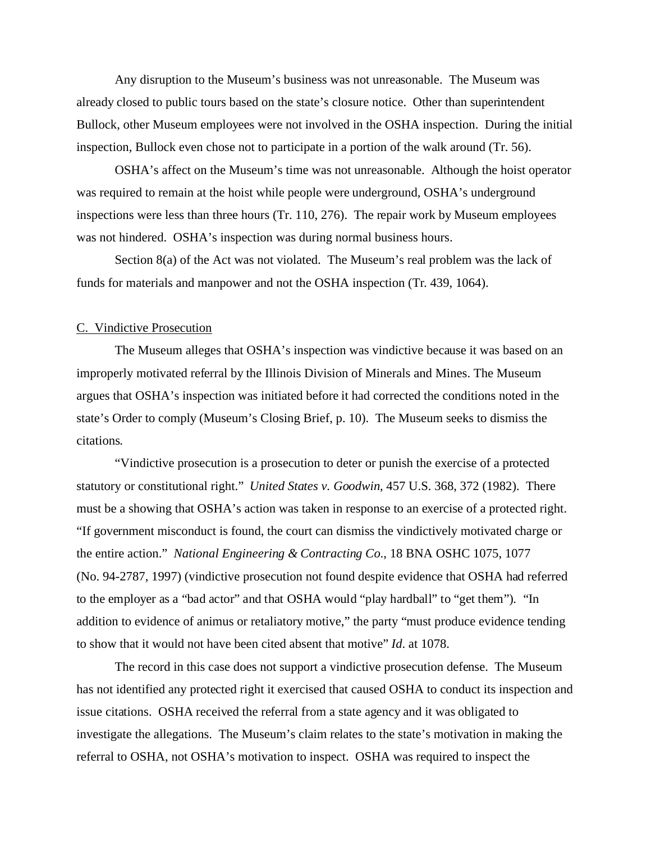Any disruption to the Museum's business was not unreasonable. The Museum was already closed to public tours based on the state's closure notice. Other than superintendent Bullock, other Museum employees were not involved in the OSHA inspection. During the initial inspection, Bullock even chose not to participate in a portion of the walk around (Tr. 56).

OSHA's affect on the Museum's time was not unreasonable. Although the hoist operator was required to remain at the hoist while people were underground, OSHA's underground inspections were less than three hours (Tr. 110, 276). The repair work by Museum employees was not hindered. OSHA's inspection was during normal business hours.

Section 8(a) of the Act was not violated. The Museum's real problem was the lack of funds for materials and manpower and not the OSHA inspection (Tr. 439, 1064).

## C. Vindictive Prosecution

The Museum alleges that OSHA's inspection was vindictive because it was based on an improperly motivated referral by the Illinois Division of Minerals and Mines. The Museum argues that OSHA's inspection was initiated before it had corrected the conditions noted in the state's Order to comply (Museum's Closing Brief, p. 10). The Museum seeks to dismiss the citations.

"Vindictive prosecution is a prosecution to deter or punish the exercise of a protected statutory or constitutional right." *United States v. Goodwin*, 457 U.S. 368, 372 (1982). There must be a showing that OSHA's action was taken in response to an exercise of a protected right. "If government misconduct is found, the court can dismiss the vindictively motivated charge or the entire action." *National Engineering & Contracting Co*., 18 BNA OSHC 1075, 1077 (No. 94-2787, 1997) (vindictive prosecution not found despite evidence that OSHA had referred to the employer as a "bad actor" and that OSHA would "play hardball" to "get them"). "In addition to evidence of animus or retaliatory motive," the party "must produce evidence tending to show that it would not have been cited absent that motive" *Id*. at 1078.

The record in this case does not support a vindictive prosecution defense. The Museum has not identified any protected right it exercised that caused OSHA to conduct its inspection and issue citations. OSHA received the referral from a state agency and it was obligated to investigate the allegations. The Museum's claim relates to the state's motivation in making the referral to OSHA, not OSHA's motivation to inspect. OSHA was required to inspect the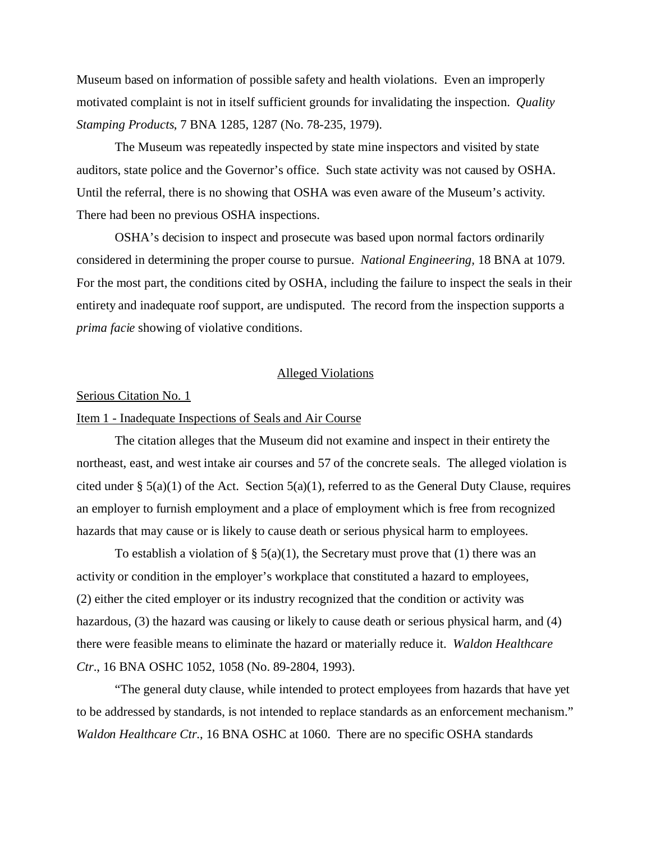Museum based on information of possible safety and health violations. Even an improperly motivated complaint is not in itself sufficient grounds for invalidating the inspection. *Quality Stamping Products*, 7 BNA 1285, 1287 (No. 78-235, 1979).

The Museum was repeatedly inspected by state mine inspectors and visited by state auditors, state police and the Governor's office. Such state activity was not caused by OSHA. Until the referral, there is no showing that OSHA was even aware of the Museum's activity. There had been no previous OSHA inspections.

OSHA's decision to inspect and prosecute was based upon normal factors ordinarily considered in determining the proper course to pursue. *National Engineering,* 18 BNA at 1079. For the most part, the conditions cited by OSHA, including the failure to inspect the seals in their entirety and inadequate roof support, are undisputed. The record from the inspection supports a *prima facie* showing of violative conditions.

#### Alleged Violations

#### Serious Citation No. 1

# Item 1 - Inadequate Inspections of Seals and Air Course

The citation alleges that the Museum did not examine and inspect in their entirety the northeast, east, and west intake air courses and 57 of the concrete seals. The alleged violation is cited under §  $5(a)(1)$  of the Act. Section  $5(a)(1)$ , referred to as the General Duty Clause, requires an employer to furnish employment and a place of employment which is free from recognized hazards that may cause or is likely to cause death or serious physical harm to employees.

To establish a violation of  $\S$  5(a)(1), the Secretary must prove that (1) there was an activity or condition in the employer's workplace that constituted a hazard to employees, (2) either the cited employer or its industry recognized that the condition or activity was hazardous, (3) the hazard was causing or likely to cause death or serious physical harm, and (4) there were feasible means to eliminate the hazard or materially reduce it. *Waldon Healthcare Ctr*., 16 BNA OSHC 1052, 1058 (No. 89-2804, 1993).

"The general duty clause, while intended to protect employees from hazards that have yet to be addressed by standards, is not intended to replace standards as an enforcement mechanism." *Waldon Healthcare Ctr*., 16 BNA OSHC at 1060. There are no specific OSHA standards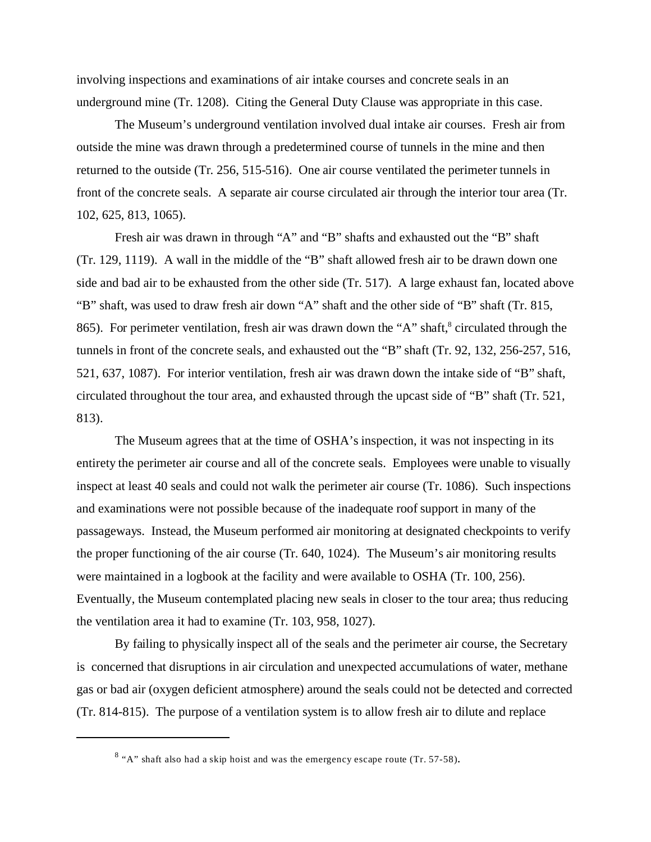involving inspections and examinations of air intake courses and concrete seals in an underground mine (Tr. 1208). Citing the General Duty Clause was appropriate in this case.

The Museum's underground ventilation involved dual intake air courses. Fresh air from outside the mine was drawn through a predetermined course of tunnels in the mine and then returned to the outside (Tr. 256, 515-516). One air course ventilated the perimeter tunnels in front of the concrete seals. A separate air course circulated air through the interior tour area (Tr. 102, 625, 813, 1065).

Fresh air was drawn in through "A" and "B" shafts and exhausted out the "B" shaft (Tr. 129, 1119). A wall in the middle of the "B" shaft allowed fresh air to be drawn down one side and bad air to be exhausted from the other side (Tr. 517). A large exhaust fan, located above "B" shaft, was used to draw fresh air down "A" shaft and the other side of "B" shaft (Tr. 815, 865). For perimeter ventilation, fresh air was drawn down the "A" shaft,<sup>8</sup> circulated through the tunnels in front of the concrete seals, and exhausted out the "B" shaft (Tr. 92, 132, 256-257, 516, 521, 637, 1087). For interior ventilation, fresh air was drawn down the intake side of "B" shaft, circulated throughout the tour area, and exhausted through the upcast side of "B" shaft (Tr. 521, 813).

The Museum agrees that at the time of OSHA's inspection, it was not inspecting in its entirety the perimeter air course and all of the concrete seals. Employees were unable to visually inspect at least 40 seals and could not walk the perimeter air course (Tr. 1086). Such inspections and examinations were not possible because of the inadequate roof support in many of the passageways. Instead, the Museum performed air monitoring at designated checkpoints to verify the proper functioning of the air course (Tr. 640, 1024). The Museum's air monitoring results were maintained in a logbook at the facility and were available to OSHA (Tr. 100, 256). Eventually, the Museum contemplated placing new seals in closer to the tour area; thus reducing the ventilation area it had to examine (Tr. 103, 958, 1027).

By failing to physically inspect all of the seals and the perimeter air course, the Secretary is concerned that disruptions in air circulation and unexpected accumulations of water, methane gas or bad air (oxygen deficient atmosphere) around the seals could not be detected and corrected (Tr. 814-815). The purpose of a ventilation system is to allow fresh air to dilute and replace

 $8$  "A" shaft also had a skip hoist and was the emergency escape route (Tr. 57-58).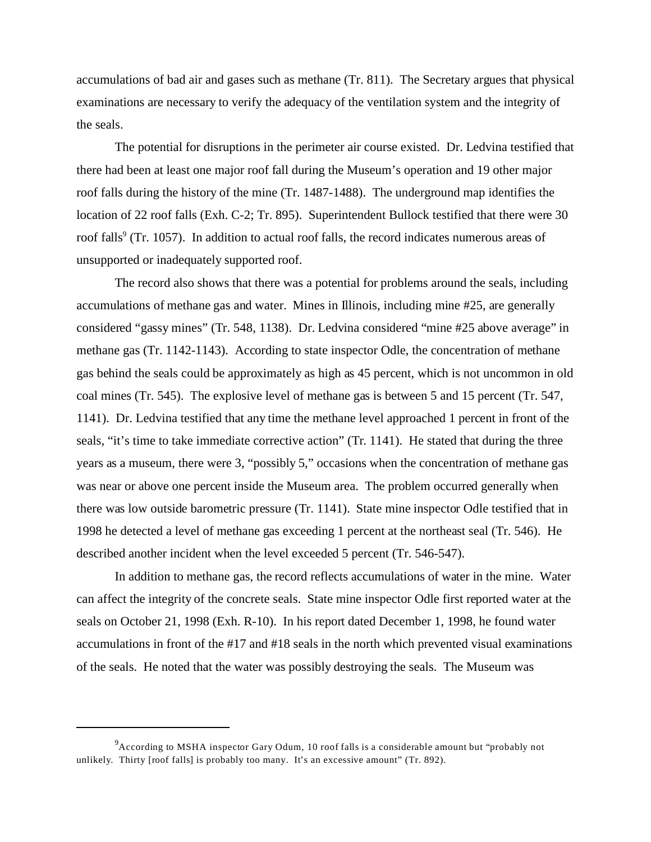accumulations of bad air and gases such as methane (Tr. 811). The Secretary argues that physical examinations are necessary to verify the adequacy of the ventilation system and the integrity of the seals.

The potential for disruptions in the perimeter air course existed. Dr. Ledvina testified that there had been at least one major roof fall during the Museum's operation and 19 other major roof falls during the history of the mine (Tr. 1487-1488). The underground map identifies the location of 22 roof falls (Exh. C-2; Tr. 895). Superintendent Bullock testified that there were 30 roof falls<sup>9</sup> (Tr. 1057). In addition to actual roof falls, the record indicates numerous areas of unsupported or inadequately supported roof.

The record also shows that there was a potential for problems around the seals, including accumulations of methane gas and water. Mines in Illinois, including mine #25, are generally considered "gassy mines" (Tr. 548, 1138). Dr. Ledvina considered "mine #25 above average" in methane gas (Tr. 1142-1143). According to state inspector Odle, the concentration of methane gas behind the seals could be approximately as high as 45 percent, which is not uncommon in old coal mines (Tr. 545). The explosive level of methane gas is between 5 and 15 percent (Tr. 547, 1141). Dr. Ledvina testified that any time the methane level approached 1 percent in front of the seals, "it's time to take immediate corrective action" (Tr. 1141). He stated that during the three years as a museum, there were 3, "possibly 5," occasions when the concentration of methane gas was near or above one percent inside the Museum area. The problem occurred generally when there was low outside barometric pressure (Tr. 1141). State mine inspector Odle testified that in 1998 he detected a level of methane gas exceeding 1 percent at the northeast seal (Tr. 546). He described another incident when the level exceeded 5 percent (Tr. 546-547).

In addition to methane gas, the record reflects accumulations of water in the mine. Water can affect the integrity of the concrete seals. State mine inspector Odle first reported water at the seals on October 21, 1998 (Exh. R-10). In his report dated December 1, 1998, he found water accumulations in front of the #17 and #18 seals in the north which prevented visual examinations of the seals. He noted that the water was possibly destroying the seals. The Museum was

 $^{9}$ According to MSHA inspector Gary Odum, 10 roof falls is a considerable amount but "probably not unlikely. Thirty [roof falls] is probably too many. It's an excessive amount" (Tr. 892).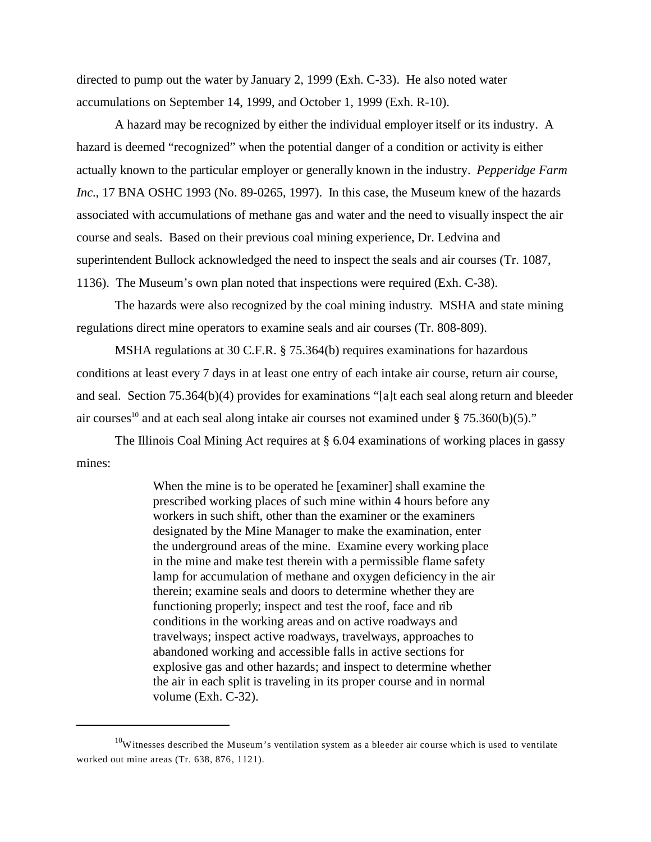directed to pump out the water by January 2, 1999 (Exh. C-33). He also noted water accumulations on September 14, 1999, and October 1, 1999 (Exh. R-10).

A hazard may be recognized by either the individual employer itself or its industry. A hazard is deemed "recognized" when the potential danger of a condition or activity is either actually known to the particular employer or generally known in the industry. *Pepperidge Farm Inc*., 17 BNA OSHC 1993 (No. 89-0265, 1997). In this case, the Museum knew of the hazards associated with accumulations of methane gas and water and the need to visually inspect the air course and seals. Based on their previous coal mining experience, Dr. Ledvina and superintendent Bullock acknowledged the need to inspect the seals and air courses (Tr. 1087, 1136). The Museum's own plan noted that inspections were required (Exh. C-38).

The hazards were also recognized by the coal mining industry. MSHA and state mining regulations direct mine operators to examine seals and air courses (Tr. 808-809).

MSHA regulations at 30 C.F.R. § 75.364(b) requires examinations for hazardous conditions at least every 7 days in at least one entry of each intake air course, return air course, and seal. Section 75.364(b)(4) provides for examinations "[a]t each seal along return and bleeder air courses<sup>10</sup> and at each seal along intake air courses not examined under § 75.360(b)(5)."

The Illinois Coal Mining Act requires at § 6.04 examinations of working places in gassy mines:

> When the mine is to be operated he [examiner] shall examine the prescribed working places of such mine within 4 hours before any workers in such shift, other than the examiner or the examiners designated by the Mine Manager to make the examination, enter the underground areas of the mine. Examine every working place in the mine and make test therein with a permissible flame safety lamp for accumulation of methane and oxygen deficiency in the air therein; examine seals and doors to determine whether they are functioning properly; inspect and test the roof, face and rib conditions in the working areas and on active roadways and travelways; inspect active roadways, travelways, approaches to abandoned working and accessible falls in active sections for explosive gas and other hazards; and inspect to determine whether the air in each split is traveling in its proper course and in normal volume (Exh. C-32).

 $10$ Witnesses described the Museum's ventilation system as a bleeder air course which is used to ventilate worked out mine areas (Tr. 638, 876, 1121).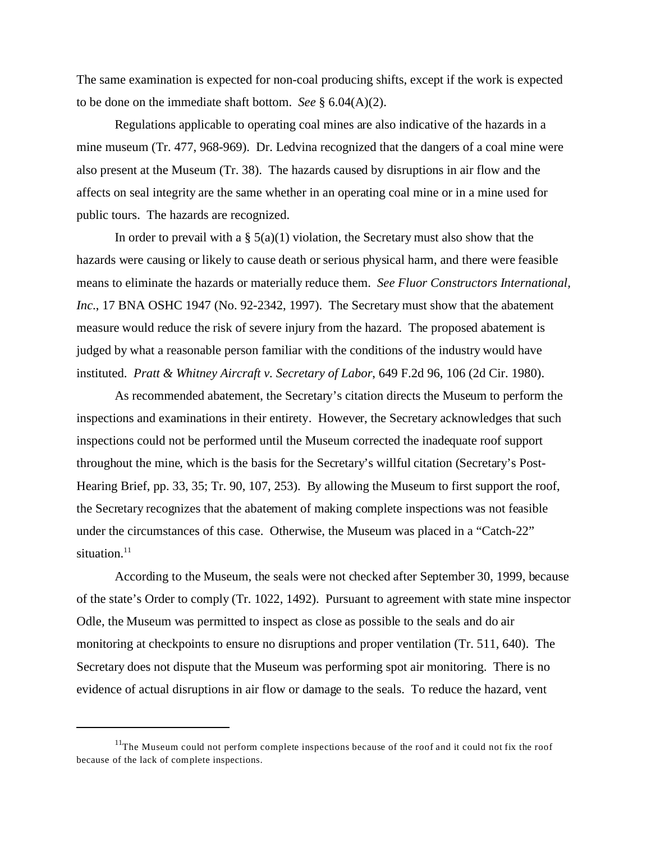The same examination is expected for non-coal producing shifts, except if the work is expected to be done on the immediate shaft bottom. *See* § 6.04(A)(2).

Regulations applicable to operating coal mines are also indicative of the hazards in a mine museum (Tr. 477, 968-969). Dr. Ledvina recognized that the dangers of a coal mine were also present at the Museum (Tr. 38). The hazards caused by disruptions in air flow and the affects on seal integrity are the same whether in an operating coal mine or in a mine used for public tours. The hazards are recognized.

In order to prevail with a  $\S$  5(a)(1) violation, the Secretary must also show that the hazards were causing or likely to cause death or serious physical harm, and there were feasible means to eliminate the hazards or materially reduce them. *See Fluor Constructors International, Inc*., 17 BNA OSHC 1947 (No. 92-2342, 1997). The Secretary must show that the abatement measure would reduce the risk of severe injury from the hazard. The proposed abatement is judged by what a reasonable person familiar with the conditions of the industry would have instituted. *Pratt & Whitney Aircraft v. Secretary of Labor*, 649 F.2d 96, 106 (2d Cir. 1980).

As recommended abatement, the Secretary's citation directs the Museum to perform the inspections and examinations in their entirety. However, the Secretary acknowledges that such inspections could not be performed until the Museum corrected the inadequate roof support throughout the mine, which is the basis for the Secretary's willful citation (Secretary's Post-Hearing Brief, pp. 33, 35; Tr. 90, 107, 253). By allowing the Museum to first support the roof, the Secretary recognizes that the abatement of making complete inspections was not feasible under the circumstances of this case. Otherwise, the Museum was placed in a "Catch-22" situation.<sup>11</sup>

According to the Museum, the seals were not checked after September 30, 1999, because of the state's Order to comply (Tr. 1022, 1492). Pursuant to agreement with state mine inspector Odle, the Museum was permitted to inspect as close as possible to the seals and do air monitoring at checkpoints to ensure no disruptions and proper ventilation (Tr. 511, 640). The Secretary does not dispute that the Museum was performing spot air monitoring. There is no evidence of actual disruptions in air flow or damage to the seals. To reduce the hazard, vent

 $11$ The Museum could not perform complete inspections because of the roof and it could not fix the roof because of the lack of complete inspections.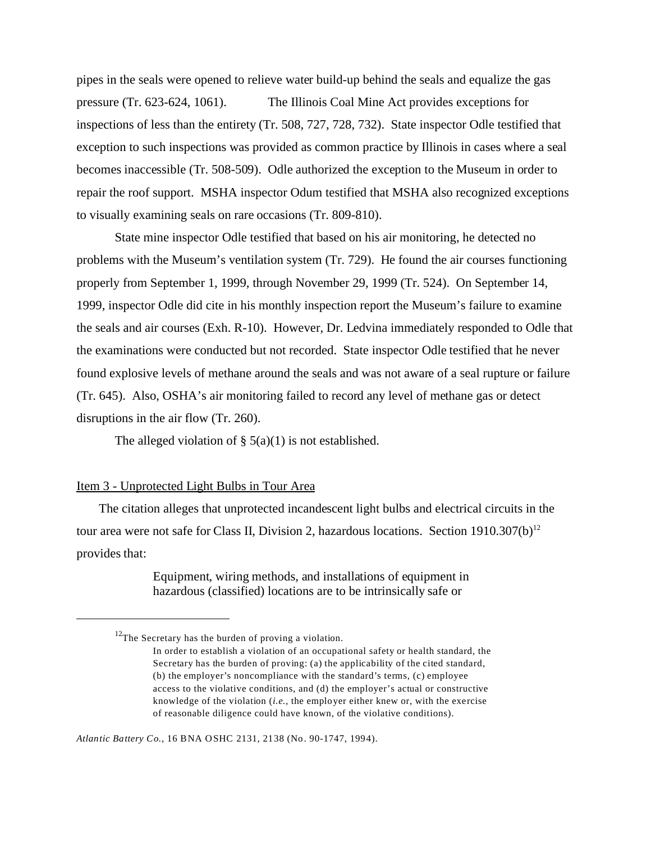pipes in the seals were opened to relieve water build-up behind the seals and equalize the gas pressure (Tr. 623-624, 1061). The Illinois Coal Mine Act provides exceptions for inspections of less than the entirety (Tr. 508, 727, 728, 732). State inspector Odle testified that exception to such inspections was provided as common practice by Illinois in cases where a seal becomes inaccessible (Tr. 508-509). Odle authorized the exception to the Museum in order to repair the roof support. MSHA inspector Odum testified that MSHA also recognized exceptions to visually examining seals on rare occasions (Tr. 809-810).

State mine inspector Odle testified that based on his air monitoring, he detected no problems with the Museum's ventilation system (Tr. 729). He found the air courses functioning properly from September 1, 1999, through November 29, 1999 (Tr. 524). On September 14, 1999, inspector Odle did cite in his monthly inspection report the Museum's failure to examine the seals and air courses (Exh. R-10). However, Dr. Ledvina immediately responded to Odle that the examinations were conducted but not recorded. State inspector Odle testified that he never found explosive levels of methane around the seals and was not aware of a seal rupture or failure (Tr. 645). Also, OSHA's air monitoring failed to record any level of methane gas or detect disruptions in the air flow (Tr. 260).

The alleged violation of  $\S$  5(a)(1) is not established.

## Item 3 - Unprotected Light Bulbs in Tour Area

The citation alleges that unprotected incandescent light bulbs and electrical circuits in the tour area were not safe for Class II, Division 2, hazardous locations. Section  $1910.307(b)^{12}$ provides that:

> Equipment, wiring methods, and installations of equipment in hazardous (classified) locations are to be intrinsically safe or

*Atlantic Battery Co.,* 16 BNA OSHC 2131, 2138 (No. 90-1747, 1994).

 $12$ The Secretary has the burden of proving a violation.

In order to establish a violation of an occupational safety or health standard, the Secretary has the burden of proving: (a) the applicability of the cited standard, (b) the employer's noncompliance with the standard's terms, (c) employee access to the violative conditions, and (d) the employer's actual or constructive knowledge of the violation (*i.e.,* the employer either knew or, with the exercise of reasonable diligence could have known, of the violative conditions).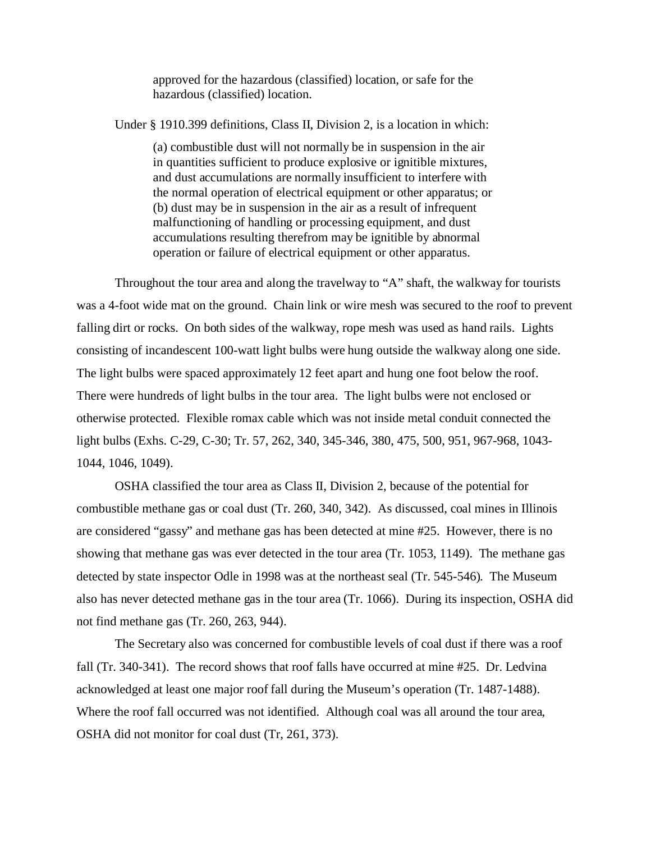approved for the hazardous (classified) location, or safe for the hazardous (classified) location.

Under § 1910.399 definitions, Class II, Division 2, is a location in which:

(a) combustible dust will not normally be in suspension in the air in quantities sufficient to produce explosive or ignitible mixtures, and dust accumulations are normally insufficient to interfere with the normal operation of electrical equipment or other apparatus; or (b) dust may be in suspension in the air as a result of infrequent malfunctioning of handling or processing equipment, and dust accumulations resulting therefrom may be ignitible by abnormal operation or failure of electrical equipment or other apparatus.

Throughout the tour area and along the travelway to "A" shaft, the walkway for tourists was a 4-foot wide mat on the ground. Chain link or wire mesh was secured to the roof to prevent falling dirt or rocks. On both sides of the walkway, rope mesh was used as hand rails. Lights consisting of incandescent 100-watt light bulbs were hung outside the walkway along one side. The light bulbs were spaced approximately 12 feet apart and hung one foot below the roof. There were hundreds of light bulbs in the tour area. The light bulbs were not enclosed or otherwise protected. Flexible romax cable which was not inside metal conduit connected the light bulbs (Exhs. C-29, C-30; Tr. 57, 262, 340, 345-346, 380, 475, 500, 951, 967-968, 1043- 1044, 1046, 1049).

OSHA classified the tour area as Class II, Division 2, because of the potential for combustible methane gas or coal dust (Tr. 260, 340, 342). As discussed, coal mines in Illinois are considered "gassy" and methane gas has been detected at mine #25. However, there is no showing that methane gas was ever detected in the tour area (Tr. 1053, 1149). The methane gas detected by state inspector Odle in 1998 was at the northeast seal (Tr. 545-546). The Museum also has never detected methane gas in the tour area (Tr. 1066). During its inspection, OSHA did not find methane gas (Tr. 260, 263, 944).

The Secretary also was concerned for combustible levels of coal dust if there was a roof fall (Tr. 340-341). The record shows that roof falls have occurred at mine #25. Dr. Ledvina acknowledged at least one major roof fall during the Museum's operation (Tr. 1487-1488). Where the roof fall occurred was not identified. Although coal was all around the tour area, OSHA did not monitor for coal dust (Tr, 261, 373).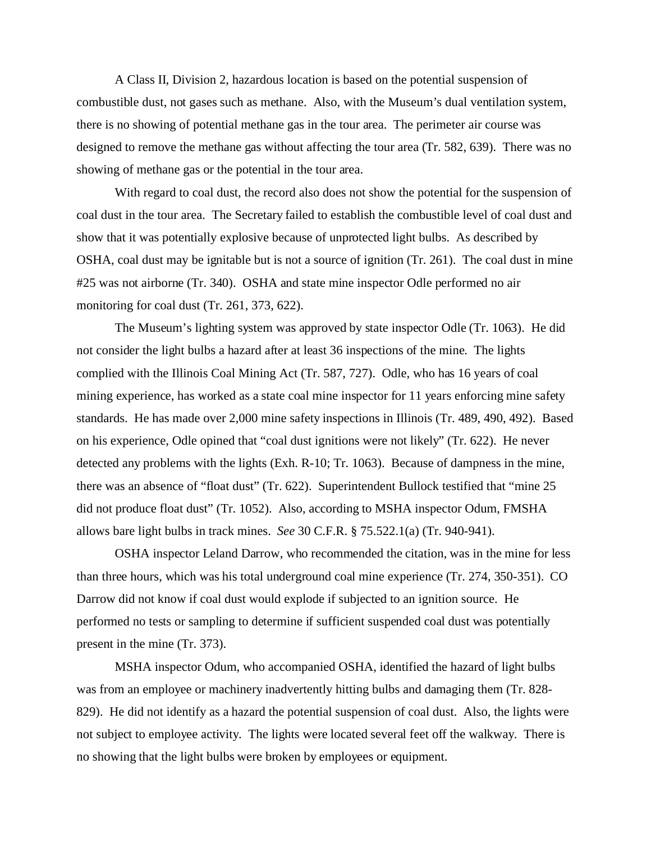A Class II, Division 2, hazardous location is based on the potential suspension of combustible dust, not gases such as methane. Also, with the Museum's dual ventilation system, there is no showing of potential methane gas in the tour area. The perimeter air course was designed to remove the methane gas without affecting the tour area (Tr. 582, 639). There was no showing of methane gas or the potential in the tour area.

With regard to coal dust, the record also does not show the potential for the suspension of coal dust in the tour area. The Secretary failed to establish the combustible level of coal dust and show that it was potentially explosive because of unprotected light bulbs. As described by OSHA, coal dust may be ignitable but is not a source of ignition (Tr. 261). The coal dust in mine #25 was not airborne (Tr. 340). OSHA and state mine inspector Odle performed no air monitoring for coal dust (Tr. 261, 373, 622).

The Museum's lighting system was approved by state inspector Odle (Tr. 1063). He did not consider the light bulbs a hazard after at least 36 inspections of the mine. The lights complied with the Illinois Coal Mining Act (Tr. 587, 727). Odle, who has 16 years of coal mining experience, has worked as a state coal mine inspector for 11 years enforcing mine safety standards. He has made over 2,000 mine safety inspections in Illinois (Tr. 489, 490, 492). Based on his experience, Odle opined that "coal dust ignitions were not likely" (Tr. 622). He never detected any problems with the lights (Exh. R-10; Tr. 1063). Because of dampness in the mine, there was an absence of "float dust" (Tr. 622). Superintendent Bullock testified that "mine 25 did not produce float dust" (Tr. 1052). Also, according to MSHA inspector Odum, FMSHA allows bare light bulbs in track mines. *See* 30 C.F.R. § 75.522.1(a) (Tr. 940-941).

OSHA inspector Leland Darrow, who recommended the citation, was in the mine for less than three hours, which was his total underground coal mine experience (Tr. 274, 350-351). CO Darrow did not know if coal dust would explode if subjected to an ignition source. He performed no tests or sampling to determine if sufficient suspended coal dust was potentially present in the mine (Tr. 373).

MSHA inspector Odum, who accompanied OSHA, identified the hazard of light bulbs was from an employee or machinery inadvertently hitting bulbs and damaging them (Tr. 828- 829). He did not identify as a hazard the potential suspension of coal dust. Also, the lights were not subject to employee activity. The lights were located several feet off the walkway. There is no showing that the light bulbs were broken by employees or equipment.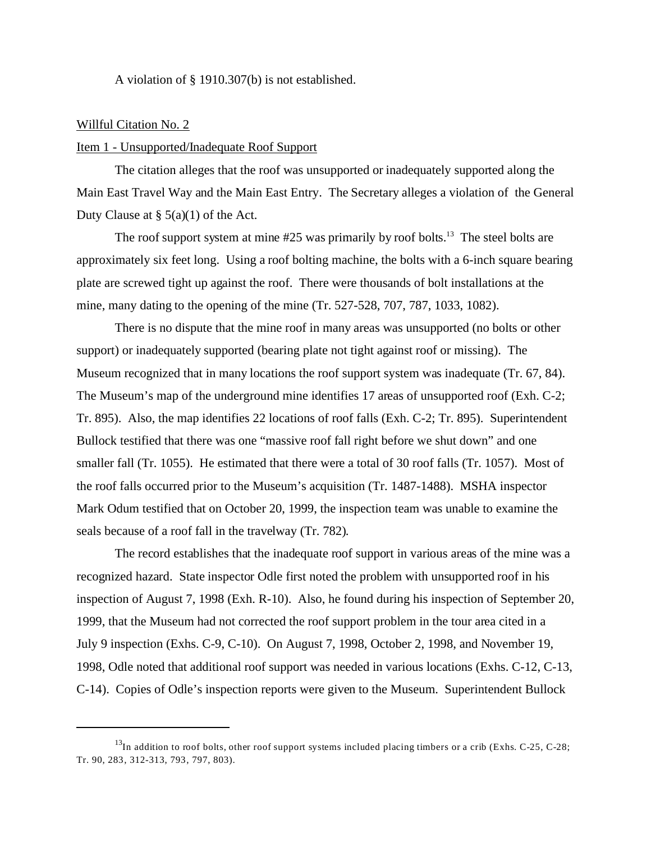A violation of § 1910.307(b) is not established.

## Willful Citation No. 2

## Item 1 - Unsupported/Inadequate Roof Support

The citation alleges that the roof was unsupported or inadequately supported along the Main East Travel Way and the Main East Entry. The Secretary alleges a violation of the General Duty Clause at  $\S$  5(a)(1) of the Act.

The roof support system at mine  $#25$  was primarily by roof bolts.<sup>13</sup> The steel bolts are approximately six feet long. Using a roof bolting machine, the bolts with a 6-inch square bearing plate are screwed tight up against the roof. There were thousands of bolt installations at the mine, many dating to the opening of the mine (Tr. 527-528, 707, 787, 1033, 1082).

There is no dispute that the mine roof in many areas was unsupported (no bolts or other support) or inadequately supported (bearing plate not tight against roof or missing). The Museum recognized that in many locations the roof support system was inadequate (Tr. 67, 84). The Museum's map of the underground mine identifies 17 areas of unsupported roof (Exh. C-2; Tr. 895). Also, the map identifies 22 locations of roof falls (Exh. C-2; Tr. 895). Superintendent Bullock testified that there was one "massive roof fall right before we shut down" and one smaller fall (Tr. 1055). He estimated that there were a total of 30 roof falls (Tr. 1057). Most of the roof falls occurred prior to the Museum's acquisition (Tr. 1487-1488). MSHA inspector Mark Odum testified that on October 20, 1999, the inspection team was unable to examine the seals because of a roof fall in the travelway (Tr. 782).

The record establishes that the inadequate roof support in various areas of the mine was a recognized hazard. State inspector Odle first noted the problem with unsupported roof in his inspection of August 7, 1998 (Exh. R-10). Also, he found during his inspection of September 20, 1999, that the Museum had not corrected the roof support problem in the tour area cited in a July 9 inspection (Exhs. C-9, C-10). On August 7, 1998, October 2, 1998, and November 19, 1998, Odle noted that additional roof support was needed in various locations (Exhs. C-12, C-13, C-14). Copies of Odle's inspection reports were given to the Museum. Superintendent Bullock

 $^{13}$ In addition to roof bolts, other roof support systems included placing timbers or a crib (Exhs. C-25, C-28; Tr. 90, 283, 312-313, 793, 797, 803).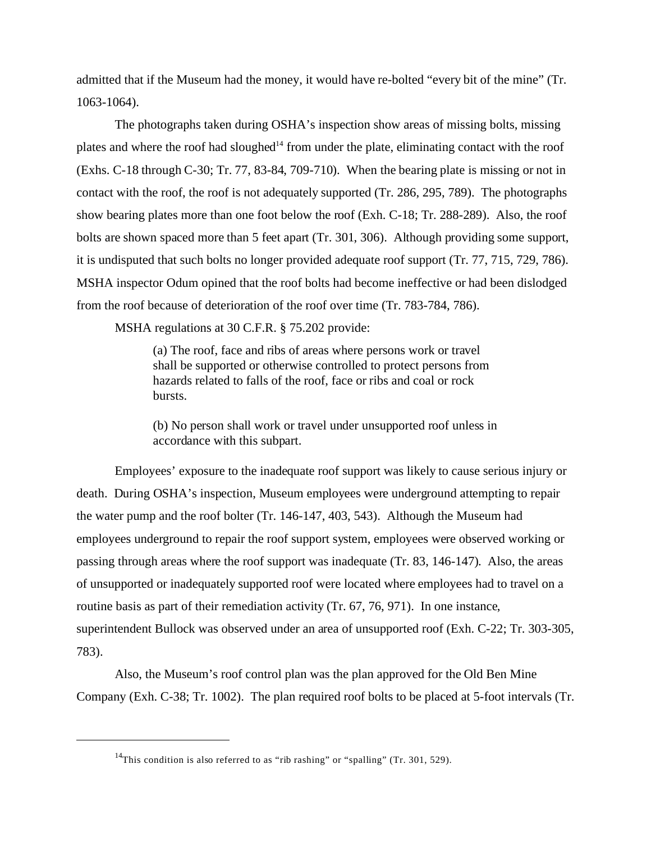admitted that if the Museum had the money, it would have re-bolted "every bit of the mine" (Tr. 1063-1064).

The photographs taken during OSHA's inspection show areas of missing bolts, missing plates and where the roof had sloughed<sup>14</sup> from under the plate, eliminating contact with the roof (Exhs. C-18 through C-30; Tr. 77, 83-84, 709-710). When the bearing plate is missing or not in contact with the roof, the roof is not adequately supported (Tr. 286, 295, 789). The photographs show bearing plates more than one foot below the roof (Exh. C-18; Tr. 288-289). Also, the roof bolts are shown spaced more than 5 feet apart (Tr. 301, 306). Although providing some support, it is undisputed that such bolts no longer provided adequate roof support (Tr. 77, 715, 729, 786). MSHA inspector Odum opined that the roof bolts had become ineffective or had been dislodged from the roof because of deterioration of the roof over time (Tr. 783-784, 786).

MSHA regulations at 30 C.F.R. § 75.202 provide:

(a) The roof, face and ribs of areas where persons work or travel shall be supported or otherwise controlled to protect persons from hazards related to falls of the roof, face or ribs and coal or rock bursts.

(b) No person shall work or travel under unsupported roof unless in accordance with this subpart.

Employees' exposure to the inadequate roof support was likely to cause serious injury or death. During OSHA's inspection, Museum employees were underground attempting to repair the water pump and the roof bolter (Tr. 146-147, 403, 543). Although the Museum had employees underground to repair the roof support system, employees were observed working or passing through areas where the roof support was inadequate (Tr. 83, 146-147). Also, the areas of unsupported or inadequately supported roof were located where employees had to travel on a routine basis as part of their remediation activity (Tr. 67, 76, 971). In one instance, superintendent Bullock was observed under an area of unsupported roof (Exh. C-22; Tr. 303-305, 783).

Also, the Museum's roof control plan was the plan approved for the Old Ben Mine Company (Exh. C-38; Tr. 1002). The plan required roof bolts to be placed at 5-foot intervals (Tr.

<sup>&</sup>lt;sup>14</sup>This condition is also referred to as "rib rashing" or "spalling" (Tr. 301, 529).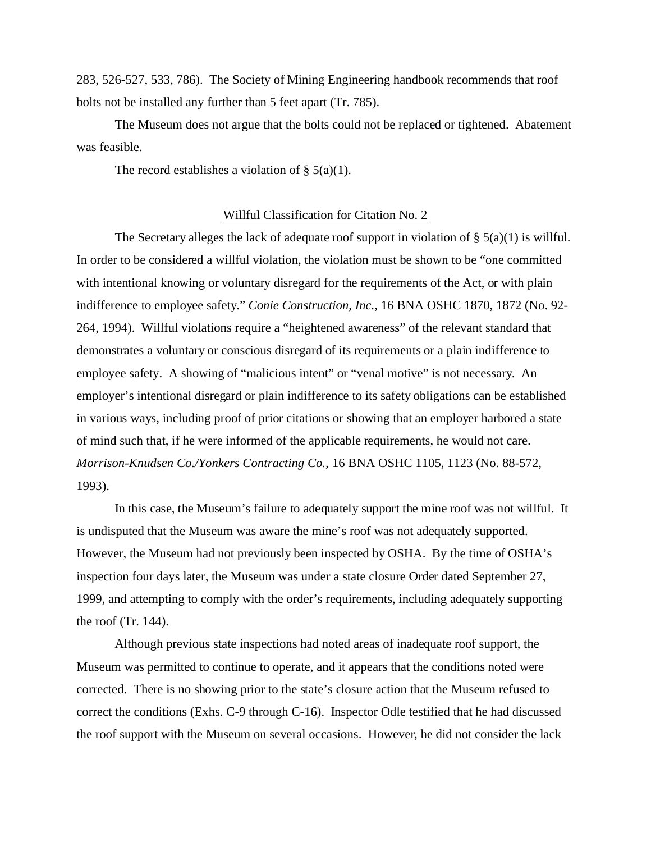283, 526-527, 533, 786). The Society of Mining Engineering handbook recommends that roof bolts not be installed any further than 5 feet apart (Tr. 785).

The Museum does not argue that the bolts could not be replaced or tightened. Abatement was feasible.

The record establishes a violation of  $\S$  5(a)(1).

### Willful Classification for Citation No. 2

The Secretary alleges the lack of adequate roof support in violation of  $\S$  5(a)(1) is willful. In order to be considered a willful violation, the violation must be shown to be "one committed with intentional knowing or voluntary disregard for the requirements of the Act, or with plain indifference to employee safety." *Conie Construction, Inc.*, 16 BNA OSHC 1870, 1872 (No. 92- 264, 1994). Willful violations require a "heightened awareness" of the relevant standard that demonstrates a voluntary or conscious disregard of its requirements or a plain indifference to employee safety. A showing of "malicious intent" or "venal motive" is not necessary. An employer's intentional disregard or plain indifference to its safety obligations can be established in various ways, including proof of prior citations or showing that an employer harbored a state of mind such that, if he were informed of the applicable requirements, he would not care. *Morrison-Knudsen Co./Yonkers Contracting Co.,* 16 BNA OSHC 1105, 1123 (No. 88-572, 1993).

In this case, the Museum's failure to adequately support the mine roof was not willful. It is undisputed that the Museum was aware the mine's roof was not adequately supported. However, the Museum had not previously been inspected by OSHA. By the time of OSHA's inspection four days later, the Museum was under a state closure Order dated September 27, 1999, and attempting to comply with the order's requirements, including adequately supporting the roof (Tr. 144).

Although previous state inspections had noted areas of inadequate roof support, the Museum was permitted to continue to operate, and it appears that the conditions noted were corrected. There is no showing prior to the state's closure action that the Museum refused to correct the conditions (Exhs. C-9 through C-16). Inspector Odle testified that he had discussed the roof support with the Museum on several occasions. However, he did not consider the lack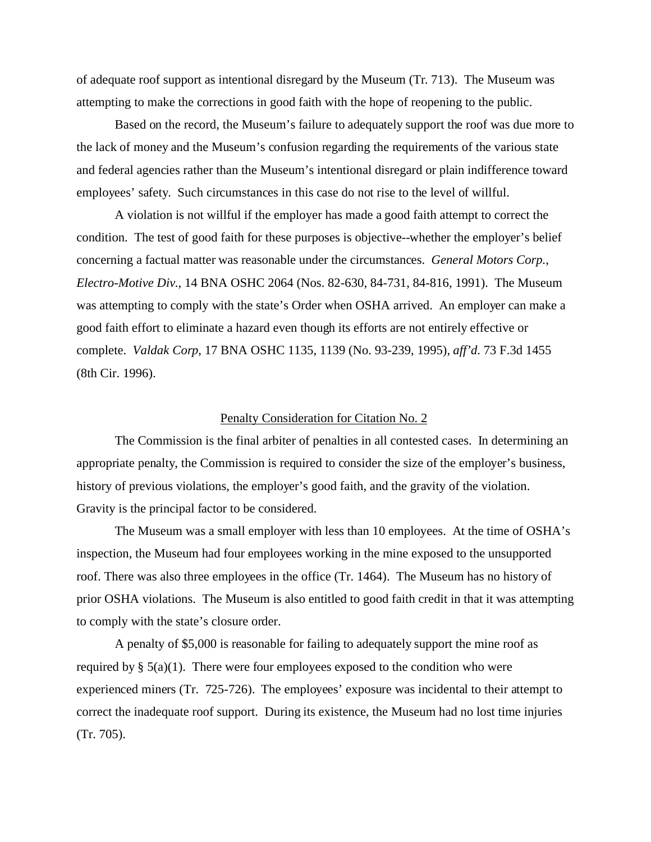of adequate roof support as intentional disregard by the Museum (Tr. 713). The Museum was attempting to make the corrections in good faith with the hope of reopening to the public.

Based on the record, the Museum's failure to adequately support the roof was due more to the lack of money and the Museum's confusion regarding the requirements of the various state and federal agencies rather than the Museum's intentional disregard or plain indifference toward employees' safety. Such circumstances in this case do not rise to the level of willful.

A violation is not willful if the employer has made a good faith attempt to correct the condition. The test of good faith for these purposes is objective--whether the employer's belief concerning a factual matter was reasonable under the circumstances. *General Motors Corp.*, *Electro-Motive Div.*, 14 BNA OSHC 2064 (Nos. 82-630, 84-731, 84-816, 1991). The Museum was attempting to comply with the state's Order when OSHA arrived. An employer can make a good faith effort to eliminate a hazard even though its efforts are not entirely effective or complete. *Valdak Corp*, 17 BNA OSHC 1135, 1139 (No. 93-239, 1995), *aff'd*. 73 F.3d 1455 (8th Cir. 1996).

### Penalty Consideration for Citation No. 2

The Commission is the final arbiter of penalties in all contested cases. In determining an appropriate penalty, the Commission is required to consider the size of the employer's business, history of previous violations, the employer's good faith, and the gravity of the violation. Gravity is the principal factor to be considered.

The Museum was a small employer with less than 10 employees. At the time of OSHA's inspection, the Museum had four employees working in the mine exposed to the unsupported roof. There was also three employees in the office (Tr. 1464). The Museum has no history of prior OSHA violations. The Museum is also entitled to good faith credit in that it was attempting to comply with the state's closure order.

A penalty of \$5,000 is reasonable for failing to adequately support the mine roof as required by  $\S$  5(a)(1). There were four employees exposed to the condition who were experienced miners (Tr. 725-726). The employees' exposure was incidental to their attempt to correct the inadequate roof support. During its existence, the Museum had no lost time injuries (Tr. 705).